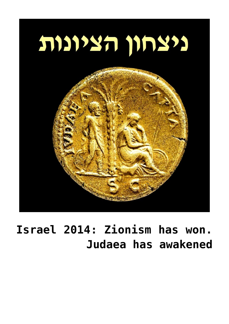

## Israel 2014: Zionism has won. **[awakened has Judaea](https://www.gplanet.co.il/israel-2014-zionism-has-won-judaea-has-awakened/)**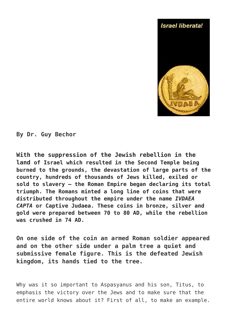

By Dr. Guy Bechor

With the suppression of the Jewish rebellion in the Land of Israel which resulted in the Second Temple being burned to the grounds, the devastation of large parts of the country, hundreds of thousands of Jews killed, exiled or sold to slavery – the Roman Empire began declaring its total triumph. The Romans minted a long line of coins that were distributed throughout the empire under the name IVDAEA *CAPTA* or Captive Judaea. These coins in bronze, silver and aold were prepared between 70 to 80 AD, while the rebellion was crushed in 74 AD.

On one side of the coin an armed Roman soldier appeared and on the other side under a palm tree a quiet and submissive female figure. This is the defeated Jewish kingdom, its hands tied to the tree.

Why was it so important to Aspasyanus and his son, Titus, to emphasis the victory over the Jews and to make sure that the entire world knows about it? First of all, to make an example.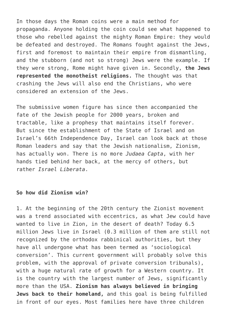In those days the Roman coins were a main method for propaganda. Anyone holding the coin could see what happened to those who rebelled against the mighty Roman Empire: they would be defeated and destroyed. The Romans fought against the Jews, first and foremost to maintain their empire from dismantling, and the stubborn (and not so strong) Jews were the example. If they were strong, Rome might have given in. Secondly, the Jews **represented the monotheist religions.** The thought was that crashing the Jews will also end the Christians, who were considered an extension of the Jews.

The submissive women figure has since then accompanied the fate of the Jewish people for 2000 years, broken and tractable, like a prophesy that maintains itself forever. But since the establishment of the State of Israel and on Israel's 66th Independence Day, Israel can look back at those Roman leaders and say that the Jewish nationalism, Zionism, has actually won. There is no more *Judaea Capta*, with her hands tied behind her back, at the mercy of others, but rather *Israel Liberata*.

## So how did **Zionism** win?

1. At the beginning of the 20th century the Zionist movement was a trend associated with eccentrics, as what Jew could have wanted to live in Zion, in the desert of death? Today 6.5 million Jews live in Israel  $(0.3$  million of them are still not recognized by the orthodox rabbinical authorities, but they have all undergone what has been termed as 'sociological conversion'. This current government will probably solve this problem, with the approval of private conversion tribunals), with a huge natural rate of growth for a Western country. It is the country with the largest number of Jews, significantly more than the USA. Zionism has always believed in bringing Jews back to their homeland, and this goal is being fulfilled in front of our eyes. Most families here have three children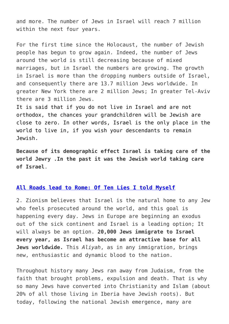and more. The number of Jews in Israel will reach 7 million within the next four years.

For the first time since the Holocaust, the number of Jewish people has begun to grow again. Indeed, the number of Jews around the world is still decreasing because of mixed marriages, but in Israel the numbers are growing. The growth in Israel is more than the dropping numbers outside of Israel, and consequently there are 13.7 million Jews worldwide. In areater New York there are 2 million Jews: In greater Tel-Aviv there are 3 million Jews.

It is said that if you do not live in Israel and are not orthodox, the chances your grandchildren will be Jewish are close to zero. In other words, Israel is the only place in the world to live in, if you wish your descendants to remain .Jewish

Because of its demographic effect Israel is taking care of the world Jewry .In the past it was the Jewish world taking care .**Israel of**

## All Roads lead to Rome: Of Ten Lies I told Myself

2. Zionism believes that Israel is the natural home to any Jew who feels prosecuted around the world, and this goal is happening every day. Jews in Europe are beginning an exodus out of the sick continent and Israel is a leading option; It will always be an option. 20,000 Jews immigrate to Israel **every year, as Israel has become an attractive base for all Jews worldwide.** This Aliyah, as in any immigration, brings new, enthusiastic and dynamic blood to the nation.

Throughout history many Jews ran away from Judaism, from the faith that brought problems, expulsion and death. That is why so many Jews have converted into Christianity and Islam (about 20% of all those living in Iberia have Jewish roots). But today, following the national Jewish emergence, many are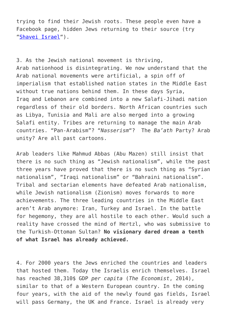trying to find their Jewish roots. These people even have a Facebook page, hidden Jews returning to their source (try "Shavei Israel").

3. As the Jewish national movement is thriving, Arab nationhood is disintegrating. We now understand that the Arab national movements were artificial, a spin off of imperialism that established nation states in the Middle East without true nations behind them. In these days Syria, Irag and Lebanon are combined into a new Salafi-Jihadi nation regardless of their old borders. North African countries such as Libya, Tunisia and Mali are also merged into a growing Salafi entity. Tribes are returning to manage the main Arab countries, "Pan-Arabism"? "Nasserism"? The Ba'ath Party? Arab unity? Are all past cartoons.

Arab leaders like Mahmud Abbas (Abu Mazen) still insist that there is no such thing as "Jewish nationalism", while the past three years have proved that there is no such thing as "Syrian nationalism", "Iraqi nationalism" or "Bahraini nationalism". Tribal and sectarian elements have defeated Arab nationalism. while Jewish nationalism (Zionism) moves forwards to more achievements. The three leading countries in the Middle East aren't Arab anymore: Iran, Turkey and Israel. In the battle for hegemony, they are all hostile to each other. Would such a reality have crossed the mind of Hertzl, who was submissive to the Turkish-Ottoman Sultan? No visionary dared dream a tenth of what Israel has already achieved.

4. For 2000 years the Jews enriched the countries and leaders that hosted them. Today the Israelis enrich themselves. Israel has reached 38,310\$ GDP per capita (*The Economist*, 2014), similar to that of a Western European country. In the coming four years, with the aid of the newly found gas fields, Israel will pass Germany, the UK and France. Israel is already very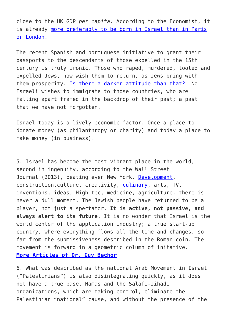close to the UK GDP per capita. According to the Economist, it is already more preferably to be born in Israel than in Paris or London.

The recent Spanish and portuguese initiative to grant their passports to the descendants of those expelled in the 15th century is truly ironic. Those who raped, murdered, looted and expelled Jews, now wish them to return, as Jews bring with them prosperity. Is there a darker attitude than that[?](https://www.gplanet.co.il/prodetailsamewin.asp?pro_id=2453) No Israeli wishes to immigrate to those countries, who are falling apart framed in the backdrop of their past; a past that we have not forgotten.

Israel today is a lively economic factor. Once a place to donate money (as philanthropy or charity) and today a place to make money (in business).

5. Israel has become the most vibrant place in the world, second in ingenuity, according to the Wall Street Journal (2013), beating even New York. Development, construction, culture, creativity, culinary, arts, TV, inventions, ideas, High-tec, medicine, agriculture, there is never a dull moment. The Jewish people have returned to be a player, not just a spectator. It is active, not passive, and always alert to its future. It is no wonder that Israel is the world center of the application industry; a true start-up country, where everything flows all the time and changes, so far from the submissiveness described in the Roman coin. The movement is forward in a geometric column of initative. **More Articles of Dr. Guy Bechor** 

6. What was described as the national Arab Movement in Israel  $("Palestinians")$  is also disintegrating quickly, as it does not have a true base. Hamas and the Salafi-Jihadi organizations, which are taking control, eliminate the Palestinian "national" cause, and without the presence of the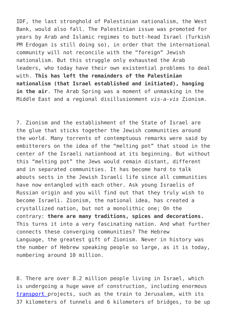IDF, the last stronghold of Palestinian nationalism, the West Bank, would also fall. The Palestinian issue was promoted for vears by Arab and Islamic regimes to butt-head Israel (Turkish PM Erdogan is still doing so), in order that the international community will not reconcile with the "foreign" Jewish nationalism. But this struggle only exhausted the Arab leaders, who today have their own existential problems to deal with. This has left the remainders of the Palestinian nationalism (that Israel established and initiated), hanging in the air. The Arab Spring was a moment of unmasking in the Middle East and a regional disillusionment vis-a-vis Zionism.

7. Zionism and the establishment of the State of Israel are the glue that sticks together the Jewish communities around the world. Many torrents of contemptuous remarks were said by embitterers on the idea of the "melting pot" that stood in the center of the Israeli nationhood at its beginning. But without this "melting pot" the Jews would remain distant, different and in separated communities. It has become hard to talk abouts sects in the Jewish Israeli life since all communities have now entangled with each other. Ask young Israelis of Russian origin and you will find out that they truly wish to become Israeli, Zionism, the national idea, has created a crystallized nation, but not a monolithic one; On the contrary: there are many traditions, spices and decorations. This turns it into a very fascinating nation. And what further connects these converging communities? The Hebrew Language, the greatest gift of Zionism. Never in history was the number of Hebrew speaking people so large, as it is today, numbering around 10 million.

8. There are over 8.2 million people living in Israel, which is undergoing a huge wave of construction, including enormous trans[p](http://youtu.be/ZqBtaXJiH8Y)ort projects, such as the train to Jerusalem, with its 37 kilometers of tunnels and 6 kilometers of bridges, to be up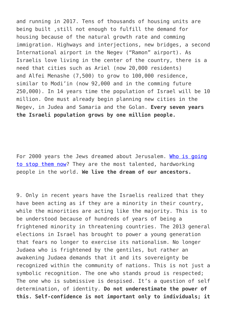and running in 2017. Tens of thousands of housing units are being built, still not enough to fulfill the demand for housing because of the natural growth rate and comming immigration, Highways and interiections, new bridges, a second International airport in the Negev ("Ramon" airport). As Israelis love living in the center of the country, there is a need that cities such as Ariel (now 20,000 residents) and Alfei Menashe  $(7,500)$  to grow to  $100,000$  residence, similar to Modi'in (now 92,000 and in the comming future  $1250.000$ ). In 14 vears time the population of Israel will be 10 million, One must already begin planning new cities in the Negev. in Judea and Samaria and the Golan. Every seven years the Israeli population grows by one million people.

For 2000 years the Jews dreamed about Jerusalem. Who is going to stop them now[?](http://youtu.be/cu53MqSjmQY) They are the most talented, hardworking people in the world. We live the dream of our ancestors.

9. Only in recent years have the Israelis realized that they have been acting as if they are a minority in their country, while the minorities are acting like the majority. This is to be understood because of hundreds of years of being a frightened minority in threatening countries. The 2013 general elections in Israel has brought to power a young generation that fears no longer to exercise its nationalism. No longer Judaea who is frightened by the gentiles, but rather an awakening Judaea demands that it and its sovereignty be recognized within the community of nations. This is not just a symbolic recognition. The one who stands proud is respected; The one who is submissive is despised. It's a question of self determination, of identity. Do not underestimate the power of this. Self-confidence is not important only to individuals; it